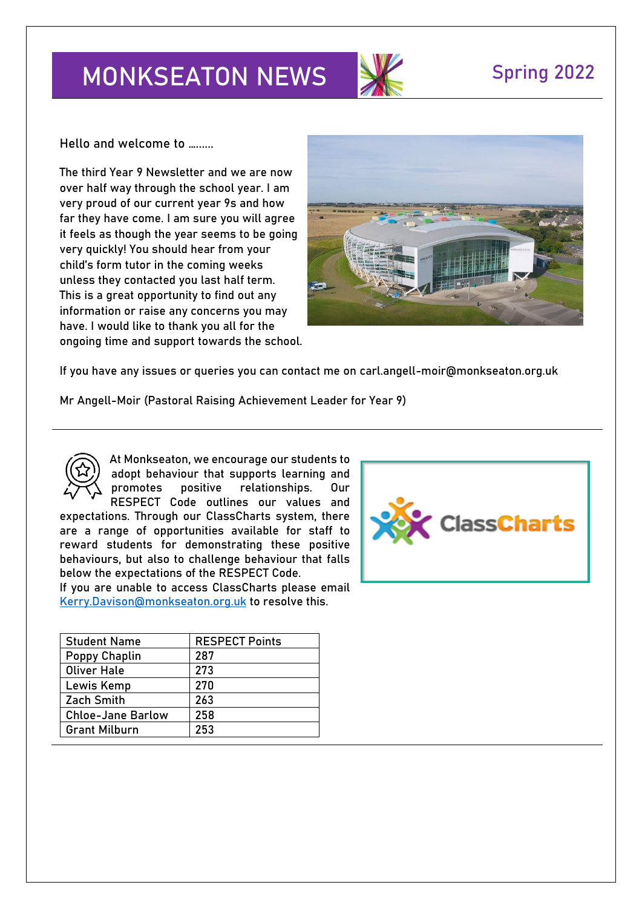# **MONKSEATON NEWS Spring 2022**



**Hello and welcome to …......**

The third Year 9 Newsletter and we are now over half way through the school year. I am very proud of our current year 9s and how far they have come. I am sure you will agree it feels as though the year seems to be going very quickly! You should hear from your child's form tutor in the coming weeks unless they contacted you last half term. This is a great opportunity to find out any information or raise any concerns you may have. I would like to thank you all for the ongoing time and support towards the school.



If you have any issues or queries you can contact me on carl.angell-moir@monkseaton.org.uk

**Mr Angell-Moir (Pastoral Raising Achievement Leader for Year 9)** 



At Monkseaton, we encourage our students to adopt behaviour that supports learning and promotes positive relationships. Our RESPECT Code outlines our values and

expectations. Through our ClassCharts system, there are a range of opportunities available for staff to reward students for demonstrating these positive behaviours, but also to challenge behaviour that falls below the expectations of the RESPECT Code.

If you are unable to access ClassCharts please email [Kerry.Davison@monkseaton.org.uk](mailto:Kerry.Davison@monkseaton.org.uk) to resolve this.

| <b>Student Name</b>      | <b>RESPECT Points</b> |
|--------------------------|-----------------------|
| Poppy Chaplin            | 287                   |
| <b>Oliver Hale</b>       | 273                   |
| Lewis Kemp               | 270                   |
| <b>Zach Smith</b>        | 263                   |
| <b>Chloe-Jane Barlow</b> | 258                   |
| <b>Grant Milburn</b>     | 253                   |

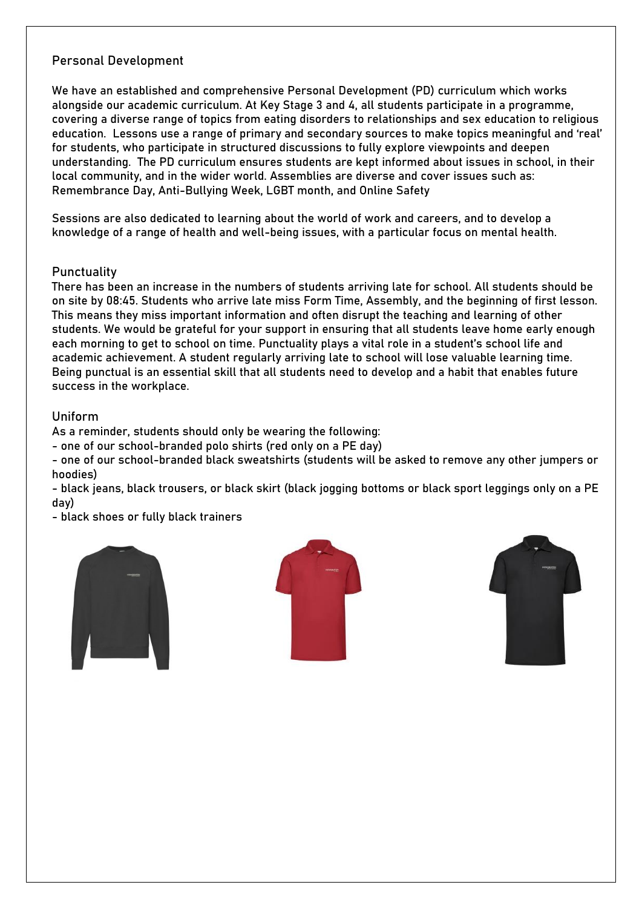# Personal Development

We have an established and comprehensive Personal Development (PD) curriculum which works alongside our academic curriculum. At Key Stage 3 and 4, all students participate in a programme, covering a diverse range of topics from eating disorders to relationships and sex education to religious education. Lessons use a range of primary and secondary sources to make topics meaningful and 'real' for students, who participate in structured discussions to fully explore viewpoints and deepen understanding. The PD curriculum ensures students are kept informed about issues in school, in their local community, and in the wider world. Assemblies are diverse and cover issues such as: Remembrance Day, Anti-Bullying Week, LGBT month, and Online Safety

Sessions are also dedicated to learning about the world of work and careers, and to develop a knowledge of a range of health and well-being issues, with a particular focus on mental health.

### **Punctuality**

There has been an increase in the numbers of students arriving late for school. All students should be on site by 08:45. Students who arrive late miss Form Time, Assembly, and the beginning of first lesson. This means they miss important information and often disrupt the teaching and learning of other students. We would be grateful for your support in ensuring that all students leave home early enough each morning to get to school on time. Punctuality plays a vital role in a student's school life and academic achievement. A student regularly arriving late to school will lose valuable learning time. Being punctual is an essential skill that all students need to develop and a habit that enables future success in the workplace.

### Uniform

As a reminder, students should only be wearing the following:

- one of our school-branded polo shirts (red only on a PE day)

- one of our school-branded black sweatshirts (students will be asked to remove any other jumpers or hoodies)

- black jeans, black trousers, or black skirt (black jogging bottoms or black sport leggings only on a PE day)

- black shoes or fully black trainers